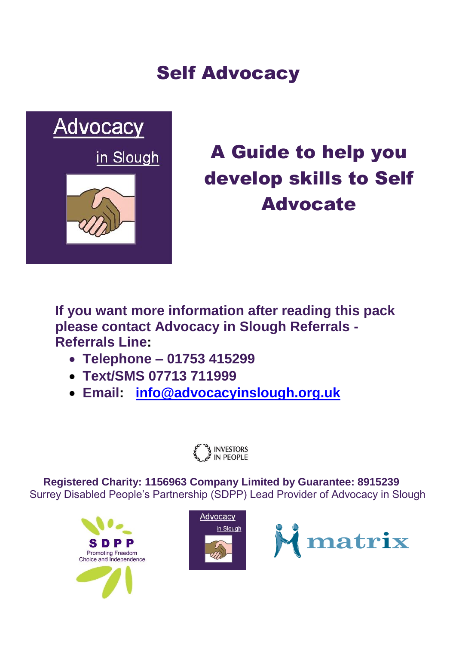# Self Advocacy



# A Guide to help you develop skills to Self Advocate

**If you want more information after reading this pack please contact Advocacy in Slough Referrals - Referrals Line:**

- **Telephone – 01753 415299**
- **Text/SMS 07713 711999**
- **Email: [info@advocacyinslough.org.uk](mailto:info@advocacyinslough.org.uk)**



**Re Registered Charity: 1156963 Company Limited by Guarantee: 8915239** Surrey Disabled People's Partnership (SDPP) Lead Provider of Advocacy in Slough





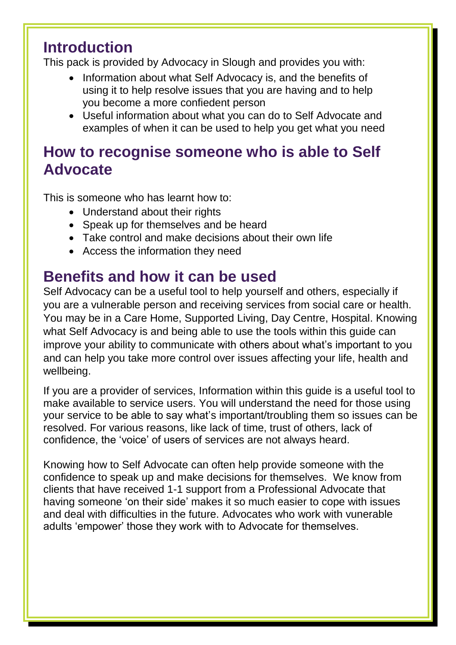### **Introduction**

This pack is provided by Advocacy in Slough and provides you with:

- Information about what Self Advocacy is, and the benefits of using it to help resolve issues that you are having and to help you become a more confiedent person
- Useful information about what you can do to Self Advocate and examples of when it can be used to help you get what you need

### **How to recognise someone who is able to Self Advocate**

This is someone who has learnt how to:

- Understand about their rights
- Speak up for themselves and be heard
- Take control and make decisions about their own life
- Access the information they need

### **Benefits and how it can be used**

Self Advocacy can be a useful tool to help yourself and others, especially if you are a vulnerable person and receiving services from social care or health. You may be in a Care Home, Supported Living, Day Centre, Hospital. Knowing what Self Advocacy is and being able to use the tools within this guide can improve your ability to communicate with others about what's important to you and can help you take more control over issues affecting your life, health and wellbeing.

If you are a provider of services, Information within this guide is a useful tool to make available to service users. You will understand the need for those using your service to be able to say what's important/troubling them so issues can be resolved. For various reasons, like lack of time, trust of others, lack of confidence, the 'voice' of users of services are not always heard.

Knowing how to Self Advocate can often help provide someone with the confidence to speak up and make decisions for themselves. We know from clients that have received 1-1 support from a Professional Advocate that having someone 'on their side' makes it so much easier to cope with issues and deal with difficulties in the future. Advocates who work with vunerable adults 'empower' those they work with to Advocate for themselves.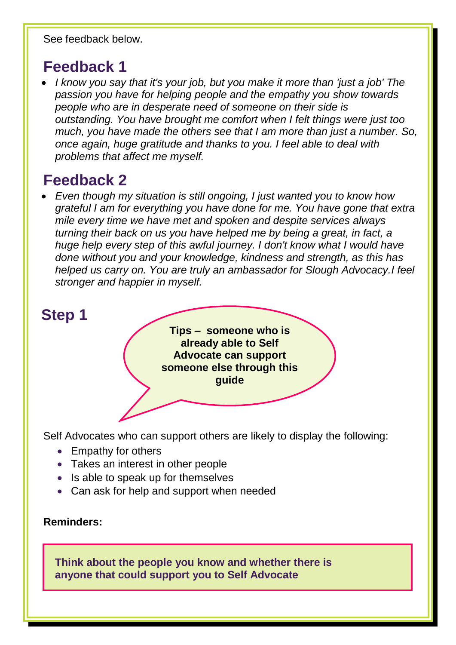See feedback below.

### **Feedback 1**

 *I know you say that it's your job, but you make it more than 'just a job' The passion you have for helping people and the empathy you show towards people who are in desperate need of someone on their side is outstanding. You have brought me comfort when I felt things were just too much, you have made the others see that I am more than just a number. So, once again, huge gratitude and thanks to you. I feel able to deal with problems that affect me myself.* 

## **Feedback 2**

 *Even though my situation is still ongoing, I just wanted you to know how grateful I am for everything you have done for me. You have gone that extra mile every time we have met and spoken and despite services always turning their back on us you have helped me by being a great, in fact, a huge help every step of this awful journey. I don't know what I would have done without you and your knowledge, kindness and strength, as this has helped us carry on. You are truly an ambassador for Slough Advocacy.I feel stronger and happier in myself.*



Self Advocates who can support others are likely to display the following:

- Empathy for others
- Takes an interest in other people
- Is able to speak up for themselves
- Can ask for help and support when needed

#### **Reminders:**

**Think about the people you know and whether there is anyone that could support you to Self Advocate**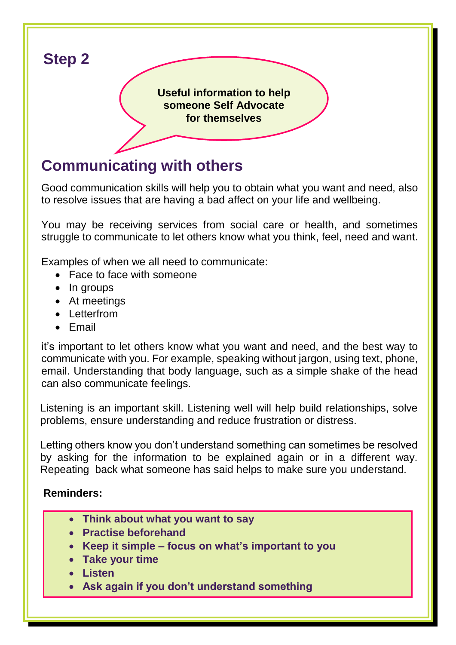

## **Communicating with others**

Good communication skills will help you to obtain what you want and need, also to resolve issues that are having a bad affect on your life and wellbeing.

You may be receiving services from social care or health, and sometimes struggle to communicate to let others know what you think, feel, need and want.

Examples of when we all need to communicate:

- Face to face with someone
- In groups
- At meetings
- Letterfrom
- Email

it's important to let others know what you want and need, and the best way to communicate with you. For example, speaking without jargon, using text, phone, email. Understanding that body language, such as a simple shake of the head can also communicate feelings.

Listening is an important skill. Listening well will help build relationships, solve problems, ensure understanding and reduce frustration or distress.

Letting others know you don't understand something can sometimes be resolved by asking for the information to be explained again or in a different way. Repeating back what someone has said helps to make sure you understand.

#### **Reminders:**

- **Think about what you want to say**
- **Practise beforehand**
- **Keep it simple – focus on what's important to you**
- **Take your time**
- **Listen**
- **Ask again if you don't understand something**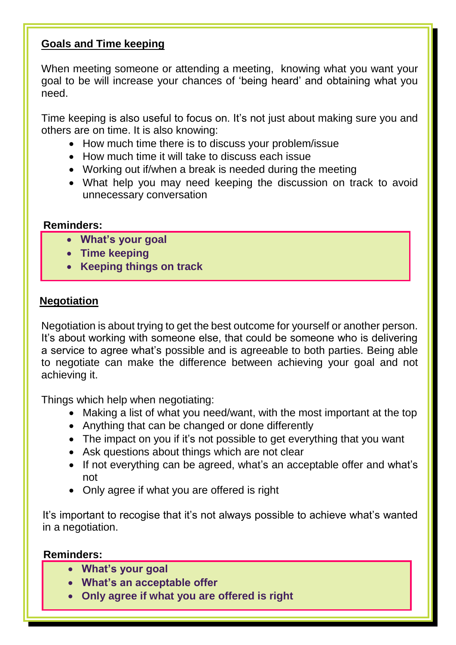#### **Goals and Time keeping**

When meeting someone or attending a meeting, knowing what you want your goal to be will increase your chances of 'being heard' and obtaining what you need.

Time keeping is also useful to focus on. It's not just about making sure you and others are on time. It is also knowing:

- How much time there is to discuss your problem/issue
- How much time it will take to discuss each issue
- Working out if/when a break is needed during the meeting
- What help you may need keeping the discussion on track to avoid unnecessary conversation

#### **Reminders:**

- **What's your goal**
- **Time keeping**
- **Keeping things on track**

#### **Negotiation**

Negotiation is about trying to get the best outcome for yourself or another person. It's about working with someone else, that could be someone who is delivering a service to agree what's possible and is agreeable to both parties. Being able to negotiate can make the difference between achieving your goal and not achieving it.

Things which help when negotiating:

- Making a list of what you need/want, with the most important at the top
- Anything that can be changed or done differently
- The impact on you if it's not possible to get everything that you want
- Ask questions about things which are not clear
- If not everything can be agreed, what's an acceptable offer and what's not
- Only agree if what you are offered is right

It's important to recogise that it's not always possible to achieve what's wanted in a negotiation.

#### **Reminders:**

- **What's your goal**
- **What's an acceptable offer**
- **Only agree if what you are offered is right**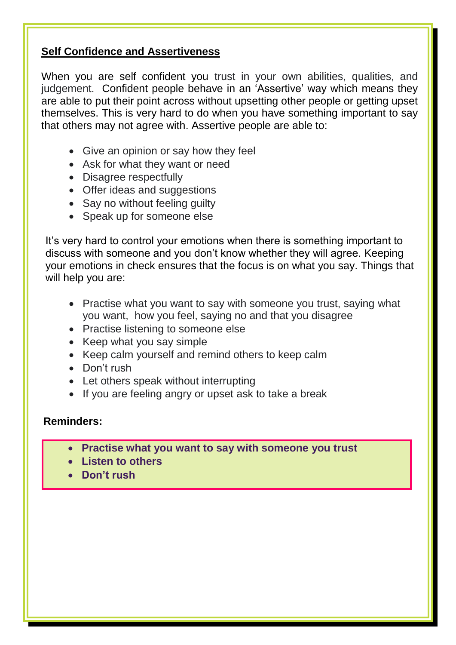#### **Self Confidence and Assertiveness**

When you are self confident you trust in your own abilities, qualities, and judgement. Confident people behave in an 'Assertive' way which means they are able to put their point across without upsetting other people or getting upset themselves. This is very hard to do when you have something important to say that others may not agree with. Assertive people are able to:

- Give an opinion or say how they feel
- Ask for what they want or need
- Disagree respectfully
- Offer ideas and suggestions
- Say no without feeling guilty
- Speak up for someone else

 It's very hard to control your emotions when there is something important to discuss with someone and you don't know whether they will agree. Keeping your emotions in check ensures that the focus is on what you say. Things that will help you are:

- Practise what you want to say with someone you trust, saying what you want, how you feel, saying no and that you disagree
- Practise listening to someone else
- Keep what you say simple
- Keep calm yourself and remind others to keep calm
- Don't rush
- Let others speak without interrupting
- If you are feeling angry or upset ask to take a break

#### **Reminders:**

- **Practise what you want to say with someone you trust**
- **Listen to others**
- **Don't rush**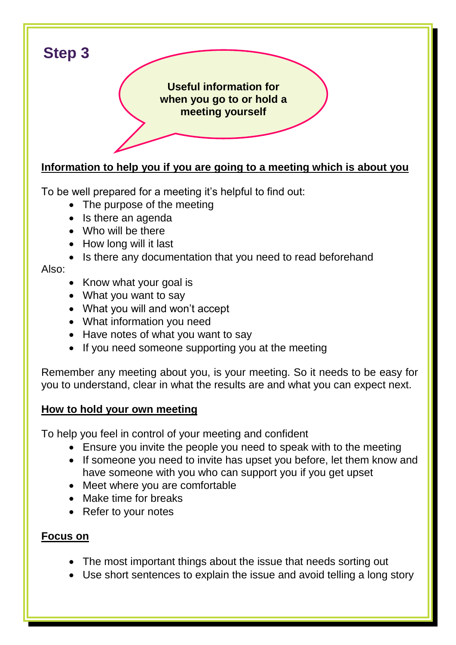

#### **Information to help you if you are going to a meeting which is about you**

To be well prepared for a meeting it's helpful to find out:

- The purpose of the meeting
- Is there an agenda
- Who will be there
- How long will it last
- Is there any documentation that you need to read beforehand

#### Also:

- Know what your goal is
- What you want to say
- What you will and won't accept
- What information you need
- Have notes of what you want to say
- If you need someone supporting you at the meeting

Remember any meeting about you, is your meeting. So it needs to be easy for you to understand, clear in what the results are and what you can expect next.

#### **How to hold your own meeting**

To help you feel in control of your meeting and confident

- Ensure you invite the people you need to speak with to the meeting
- If someone you need to invite has upset you before, let them know and have someone with you who can support you if you get upset
- Meet where you are comfortable
- Make time for breaks
- Refer to your notes

#### **Focus on**

- The most important things about the issue that needs sorting out
- Use short sentences to explain the issue and avoid telling a long story